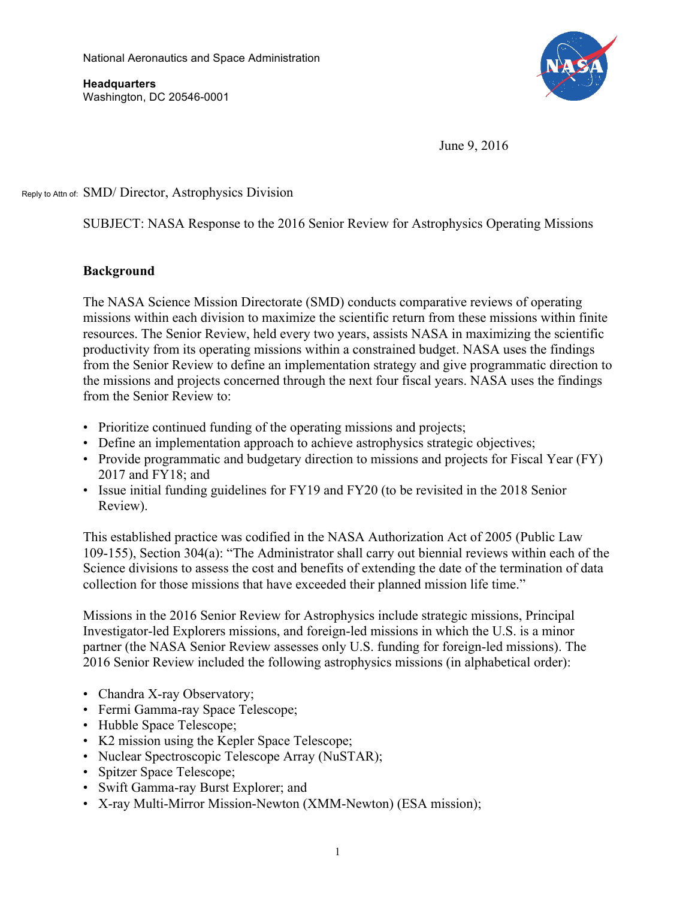National Aeronautics and Space Administration

 Washington, DC 20546-0001 **Headquarters** 



June 9, 2016

Reply to Attn of: SMD/ Director, Astrophysics Division

SUBJECT: NASA Response to the 2016 Senior Review for Astrophysics Operating Missions

# **Background**

The NASA Science Mission Directorate (SMD) conducts comparative reviews of operating missions within each division to maximize the scientific return from these missions within finite resources. The Senior Review, held every two years, assists NASA in maximizing the scientific productivity from its operating missions within a constrained budget. NASA uses the findings from the Senior Review to define an implementation strategy and give programmatic direction to the missions and projects concerned through the next four fiscal years. NASA uses the findings from the Senior Review to:

- Prioritize continued funding of the operating missions and projects;
- Define an implementation approach to achieve astrophysics strategic objectives;
- Provide programmatic and budgetary direction to missions and projects for Fiscal Year (FY) 2017 and FY18; and
- Issue initial funding guidelines for FY19 and FY20 (to be revisited in the 2018 Senior Review).

This established practice was codified in the NASA Authorization Act of 2005 (Public Law 109-155), Section 304(a): "The Administrator shall carry out biennial reviews within each of the Science divisions to assess the cost and benefits of extending the date of the termination of data collection for those missions that have exceeded their planned mission life time."

Missions in the 2016 Senior Review for Astrophysics include strategic missions, Principal Investigator-led Explorers missions, and foreign-led missions in which the U.S. is a minor partner (the NASA Senior Review assesses only U.S. funding for foreign-led missions). The 2016 Senior Review included the following astrophysics missions (in alphabetical order):

- Chandra X-ray Observatory;
- Fermi Gamma-ray Space Telescope;
- Hubble Space Telescope;
- K2 mission using the Kepler Space Telescope;
- Nuclear Spectroscopic Telescope Array (NuSTAR);
- Spitzer Space Telescope;
- • Swift Gamma-ray Burst Explorer; and
- X-ray Multi-Mirror Mission-Newton (XMM-Newton) (ESA mission);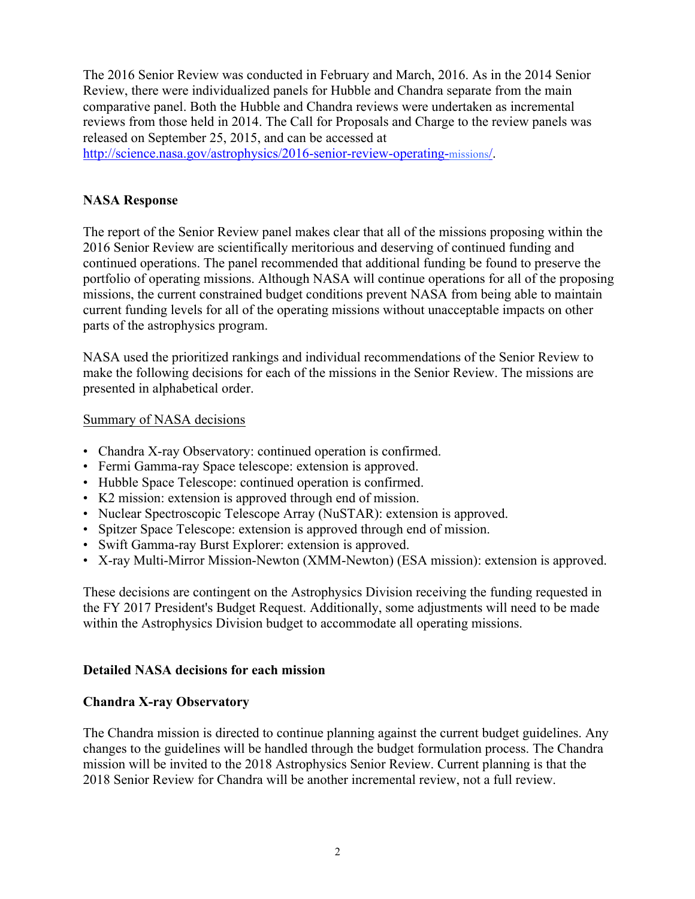The 2016 Senior Review was conducted in February and March, 2016. As in the 2014 Senior Review, there were individualized panels for Hubble and Chandra separate from the main comparative panel. Both the Hubble and Chandra reviews were undertaken as incremental reviews from those held in 2014. The Call for Proposals and Charge to the review panels was released on September 25, 2015, and can be accessed at

http://science.nasa.gov/astrophysics/2016-senior-review-operating-missions/.

# **NASA Response**

 The report of the Senior Review panel makes clear that all of the missions proposing within the current funding levels for all of the operating missions without unacceptable impacts on other 2016 Senior Review are scientifically meritorious and deserving of continued funding and continued operations. The panel recommended that additional funding be found to preserve the portfolio of operating missions. Although NASA will continue operations for all of the proposing missions, the current constrained budget conditions prevent NASA from being able to maintain parts of the astrophysics program.

 make the following decisions for each of the missions in the Senior Review. The missions are NASA used the prioritized rankings and individual recommendations of the Senior Review to presented in alphabetical order.

#### Summary of NASA decisions

- Chandra X-ray Observatory: continued operation is confirmed.
- Fermi Gamma-ray Space telescope: extension is approved.
- Hubble Space Telescope: continued operation is confirmed.
- K2 mission: extension is approved through end of mission.
- Nuclear Spectroscopic Telescope Array (NuSTAR): extension is approved.
- Spitzer Space Telescope: extension is approved through end of mission.
- Swift Gamma-ray Burst Explorer: extension is approved.
- X-ray Multi-Mirror Mission-Newton (XMM-Newton) (ESA mission): extension is approved.

These decisions are contingent on the Astrophysics Division receiving the funding requested in the FY 2017 President's Budget Request. Additionally, some adjustments will need to be made within the Astrophysics Division budget to accommodate all operating missions.

# **Detailed NASA decisions for each mission**

# **Chandra X-ray Observatory**

 The Chandra mission is directed to continue planning against the current budget guidelines. Any changes to the guidelines will be handled through the budget formulation process. The Chandra mission will be invited to the 2018 Astrophysics Senior Review. Current planning is that the 2018 Senior Review for Chandra will be another incremental review, not a full review.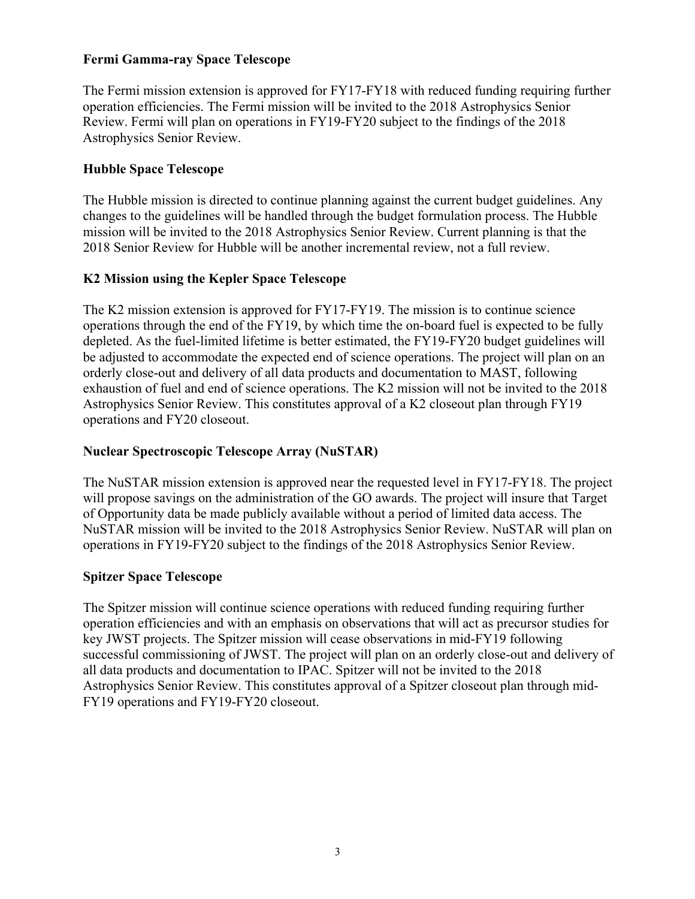#### **Fermi Gamma-ray Space Telescope**

The Fermi mission extension is approved for FY17-FY18 with reduced funding requiring further operation efficiencies. The Fermi mission will be invited to the 2018 Astrophysics Senior Review. Fermi will plan on operations in FY19-FY20 subject to the findings of the 2018 Astrophysics Senior Review.

# **Hubble Space Telescope**

 The Hubble mission is directed to continue planning against the current budget guidelines. Any changes to the guidelines will be handled through the budget formulation process. The Hubble mission will be invited to the 2018 Astrophysics Senior Review. Current planning is that the 2018 Senior Review for Hubble will be another incremental review, not a full review.

# **K2 Mission using the Kepler Space Telescope**

The K2 mission extension is approved for FY17-FY19. The mission is to continue science operations through the end of the FY19, by which time the on-board fuel is expected to be fully depleted. As the fuel-limited lifetime is better estimated, the FY19-FY20 budget guidelines will be adjusted to accommodate the expected end of science operations. The project will plan on an orderly close-out and delivery of all data products and documentation to MAST, following exhaustion of fuel and end of science operations. The K2 mission will not be invited to the 2018 Astrophysics Senior Review. This constitutes approval of a K2 closeout plan through FY19 operations and FY20 closeout.

#### **Nuclear Spectroscopic Telescope Array (NuSTAR)**

 will propose savings on the administration of the GO awards. The project will insure that Target The NuSTAR mission extension is approved near the requested level in FY17-FY18. The project of Opportunity data be made publicly available without a period of limited data access. The NuSTAR mission will be invited to the 2018 Astrophysics Senior Review. NuSTAR will plan on operations in FY19-FY20 subject to the findings of the 2018 Astrophysics Senior Review.

#### **Spitzer Space Telescope**

The Spitzer mission will continue science operations with reduced funding requiring further operation efficiencies and with an emphasis on observations that will act as precursor studies for key JWST projects. The Spitzer mission will cease observations in mid-FY19 following successful commissioning of JWST. The project will plan on an orderly close-out and delivery of all data products and documentation to IPAC. Spitzer will not be invited to the 2018 Astrophysics Senior Review. This constitutes approval of a Spitzer closeout plan through mid-FY19 operations and FY19-FY20 closeout.